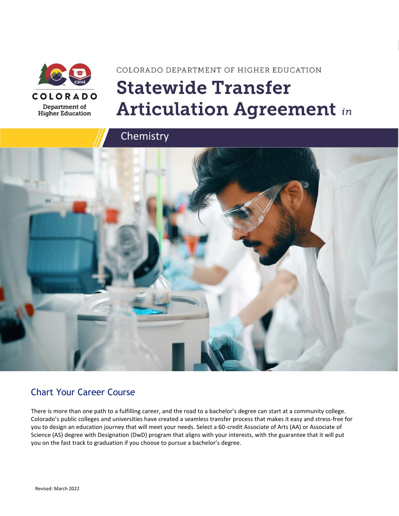

# COLORADO DEPARTMENT OF HIGHER EDUCATION **Statewide Transfer Articulation Agreement in**



### Chart Your Career Course

There is more than one path to a fulfilling career, and the road to a bachelor's degree can start at a community college. Colorado's public colleges and universities have created a seamless transfer process that makes it easy and stress-free for you to design an education journey that will meet your needs. Select a 60-credit Associate of Arts (AA) or Associate of Science (AS) degree with Designation (DwD) program that aligns with your interests, with the guarantee that it will put you on the fast track to graduation if you choose to pursue a bachelor's degree.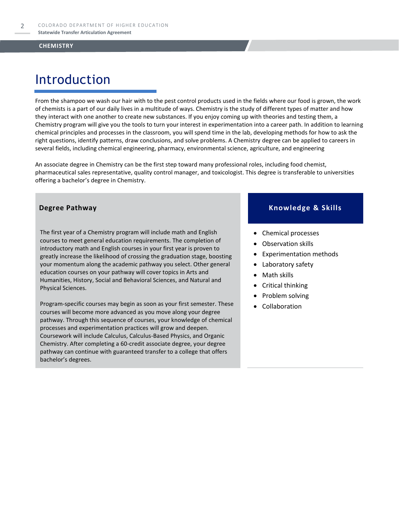## Introduction

From the shampoo we wash our hair with to the pest control products used in the fields where our food is grown, the work of chemists is a part of our daily lives in a multitude of ways. Chemistry is the study of different types of matter and how they interact with one another to create new substances. If you enjoy coming up with theories and testing them, a Chemistry program will give you the tools to turn your interest in experimentation into a career path. In addition to learning chemical principles and processes in the classroom, you will spend time in the lab, developing methods for how to ask the right questions, identify patterns, draw conclusions, and solve problems. A Chemistry degree can be applied to careers in several fields, including chemical engineering, pharmacy, environmental science, agriculture, and engineering

An associate degree in Chemistry can be the first step toward many professional roles, including food chemist, pharmaceutical sales representative, quality control manager, and toxicologist. This degree is transferable to universities offering a bachelor's degree in Chemistry.

The first year of a Chemistry program will include math and English courses to meet general education requirements. The completion of introductory math and English courses in your first year is proven to greatly increase the likelihood of crossing the graduation stage, boosting your momentum along the academic pathway you select. Other general education courses on your pathway will cover topics in Arts and Humanities, History, Social and Behavioral Sciences, and Natural and Physical Sciences.

Program-specific courses may begin as soon as your first semester. These courses will become more advanced as you move along your degree pathway. Through this sequence of courses, your knowledge of chemical processes and experimentation practices will grow and deepen. Coursework will include Calculus, Calculus-Based Physics, and Organic Chemistry. After completing a 60-credit associate degree, your degree pathway can continue with guaranteed transfer to a college that offers bachelor's degrees.

#### **Degree Pathway Knowledge & Skills**

- Chemical processes
- Observation skills
- Experimentation methods
- Laboratory safety
- Math skills
- Critical thinking
- Problem solving
- **Collaboration**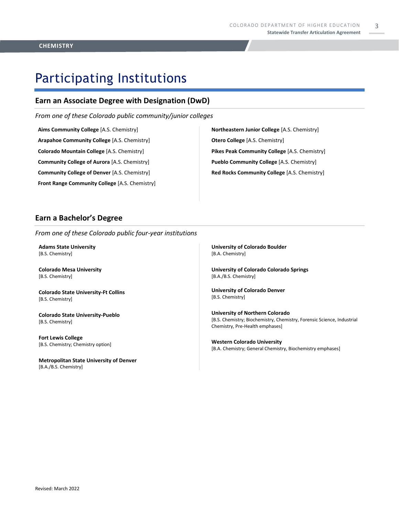## Participating Institutions

### **Earn an Associate Degree with Designation (DwD)**

*From one of these Colorado public community/junior colleges*

**Aims Community College** [A.S. Chemistry] **Arapahoe Community College** [A.S. Chemistry] **Colorado Mountain College** [A.S. Chemistry] **Community College of Aurora** [A.S. Chemistry] **Community College of Denver** [A.S. Chemistry] **Front Range Community College** [A.S. Chemistry]

**Northeastern Junior College** [A.S. Chemistry] **Otero College** [A.S. Chemistry] **Pikes Peak Community College** [A.S. Chemistry] **Pueblo Community College** [A.S. Chemistry] **Red Rocks Community College** [A.S. Chemistry]

### **Earn a Bachelor's Degree**

*From one of these Colorado public four-year institutions*

**Adams State University**  [B.S. Chemistry]

**Colorado Mesa University**  [B.S. Chemistry]

**Colorado State University-Ft Collins**  [B.S. Chemistry]

**Colorado State University-Pueblo**  [B.S. Chemistry]

**Fort Lewis College**  [B.S. Chemistry; Chemistry option]

**Metropolitan State University of Denver**  [B.A./B.S. Chemistry]

**University of Colorado Boulder**  [B.A. Chemistry]

**University of Colorado Colorado Springs** [B.A./B.S. Chemistry]

**University of Colorado Denver** [B.S. Chemistry]

**University of Northern Colorado** [B.S. Chemistry; Biochemistry, Chemistry, Forensic Science, Industrial Chemistry, Pre-Health emphases]

**Western Colorado University** [B.A. Chemistry; General Chemistry, Biochemistry emphases]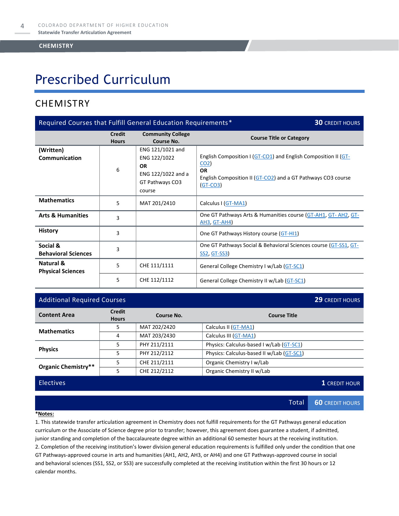# Prescribed Curriculum

### **CHEMISTRY**

| Required Courses that Fulfill General Education Requirements*<br><b>30 CREDIT HOURS</b> |                               |                                                                                                  |                                                                                                                                                                              |  |
|-----------------------------------------------------------------------------------------|-------------------------------|--------------------------------------------------------------------------------------------------|------------------------------------------------------------------------------------------------------------------------------------------------------------------------------|--|
|                                                                                         | <b>Credit</b><br><b>Hours</b> | <b>Community College</b><br>Course No.                                                           | <b>Course Title or Category</b>                                                                                                                                              |  |
| (Written)<br>Communication                                                              | 6                             | ENG 121/1021 and<br>ENG 122/1022<br><b>OR</b><br>ENG 122/1022 and a<br>GT Pathways CO3<br>course | English Composition I (GT-CO1) and English Composition II (GT-<br>CO <sub>2</sub><br><b>OR</b><br>English Composition II (GT-CO2) and a GT Pathways CO3 course<br>$(GT-CO3)$ |  |
| <b>Mathematics</b>                                                                      | 5                             | MAT 201/2410                                                                                     | Calculus I (GT-MA1)                                                                                                                                                          |  |
| <b>Arts &amp; Humanities</b>                                                            | 3                             |                                                                                                  | One GT Pathways Arts & Humanities course (GT-AH1, GT-AH2, GT-<br><b>AH3, GT-AH4)</b>                                                                                         |  |
| <b>History</b>                                                                          | 3                             |                                                                                                  | One GT Pathways History course (GT-HI1)                                                                                                                                      |  |
| Social &<br><b>Behavioral Sciences</b>                                                  | 3                             |                                                                                                  | One GT Pathways Social & Behavioral Sciences course (GT-SS1, GT-<br><u>SS2, GT-SS3</u>                                                                                       |  |
| Natural &<br><b>Physical Sciences</b>                                                   | 5                             | CHE 111/1111                                                                                     | General College Chemistry I w/Lab (GT-SC1)                                                                                                                                   |  |
| 5<br>CHE 112/1112                                                                       |                               | General College Chemistry II w/Lab (GT-SC1)                                                      |                                                                                                                                                                              |  |

#### Additional Required Courses **29** CREDIT HOURS

|                     | rigantionial incident calcoarses |              |                                           |
|---------------------|----------------------------------|--------------|-------------------------------------------|
| <b>Content Area</b> | <b>Credit</b><br><b>Hours</b>    | Course No.   | <b>Course Title</b>                       |
| <b>Mathematics</b>  | 5                                | MAT 202/2420 | Calculus II (GT-MA1)                      |
|                     | 4                                | MAT 203/2430 | Calculus III (GT-MA1)                     |
| <b>Physics</b>      | 5                                | PHY 211/2111 | Physics: Calculus-based I w/Lab (GT-SC1)  |
|                     | 5                                | PHY 212/2112 | Physics: Calculus-based II w/Lab (GT-SC1) |
| Organic Chemistry** |                                  | CHE 211/2111 | Organic Chemistry I w/Lab                 |
|                     |                                  | CHE 212/2112 | Organic Chemistry II w/Lab                |

Electives **1** CREDIT HOUR

Total **60** CREDIT HOURS

#### **\*Notes:**

1. This statewide transfer articulation agreement in Chemistry does not fulfill requirements for the GT Pathways general education curriculum or the Associate of Science degree prior to transfer; however, this agreement does guarantee a student, if admitted, junior standing and completion of the baccalaureate degree within an additional 60 semester hours at the receiving institution. 2. Completion of the receiving institution's lower division general education requirements is fulfilled only under the condition that one GT Pathways-approved course in arts and humanities (AH1, AH2, AH3, or AH4) and one GT Pathways-approved course in social and behavioral sciences (SS1, SS2, or SS3) are successfully completed at the receiving institution within the first 30 hours or 12 calendar months.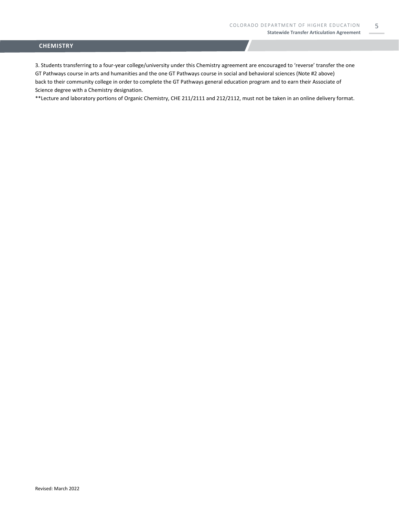5

#### **CHEMISTRY**

3. Students transferring to a four-year college/university under this Chemistry agreement are encouraged to 'reverse' transfer the one GT Pathways course in arts and humanities and the one GT Pathways course in social and behavioral sciences (Note #2 above) back to their community college in order to complete the GT Pathways general education program and to earn their Associate of Science degree with a Chemistry designation.

\*\*Lecture and laboratory portions of Organic Chemistry, CHE 211/2111 and 212/2112, must not be taken in an online delivery format.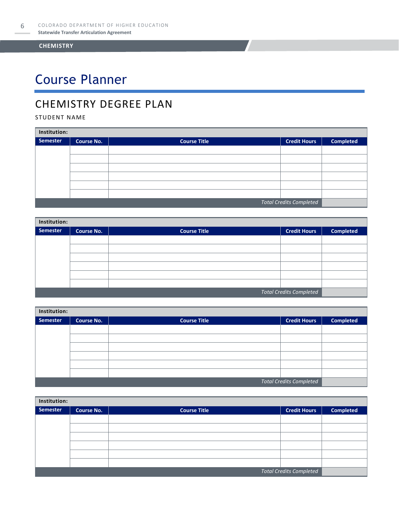# Course Planner

### CHEMISTRY DEGREE PLAN

#### STUDENT NAME

| Institution:                   |                   |                     |                     |                  |  |
|--------------------------------|-------------------|---------------------|---------------------|------------------|--|
| Semester                       | <b>Course No.</b> | <b>Course Title</b> | <b>Credit Hours</b> | <b>Completed</b> |  |
|                                |                   |                     |                     |                  |  |
|                                |                   |                     |                     |                  |  |
|                                |                   |                     |                     |                  |  |
|                                |                   |                     |                     |                  |  |
|                                |                   |                     |                     |                  |  |
|                                |                   |                     |                     |                  |  |
| <b>Total Credits Completed</b> |                   |                     |                     |                  |  |

| Institution:                   |                   |                     |                     |                  |  |
|--------------------------------|-------------------|---------------------|---------------------|------------------|--|
| Semester                       | <b>Course No.</b> | <b>Course Title</b> | <b>Credit Hours</b> | <b>Completed</b> |  |
|                                |                   |                     |                     |                  |  |
|                                |                   |                     |                     |                  |  |
|                                |                   |                     |                     |                  |  |
|                                |                   |                     |                     |                  |  |
|                                |                   |                     |                     |                  |  |
|                                |                   |                     |                     |                  |  |
| <b>Total Credits Completed</b> |                   |                     |                     |                  |  |

| Institution:                   |                   |                     |                     |                  |  |
|--------------------------------|-------------------|---------------------|---------------------|------------------|--|
| Semester                       | <b>Course No.</b> | <b>Course Title</b> | <b>Credit Hours</b> | <b>Completed</b> |  |
|                                |                   |                     |                     |                  |  |
|                                |                   |                     |                     |                  |  |
|                                |                   |                     |                     |                  |  |
|                                |                   |                     |                     |                  |  |
|                                |                   |                     |                     |                  |  |
|                                |                   |                     |                     |                  |  |
| <b>Total Credits Completed</b> |                   |                     |                     |                  |  |

| Institution:                   |                   |                     |                     |                  |  |
|--------------------------------|-------------------|---------------------|---------------------|------------------|--|
| Semester                       | <b>Course No.</b> | <b>Course Title</b> | <b>Credit Hours</b> | <b>Completed</b> |  |
|                                |                   |                     |                     |                  |  |
|                                |                   |                     |                     |                  |  |
|                                |                   |                     |                     |                  |  |
|                                |                   |                     |                     |                  |  |
|                                |                   |                     |                     |                  |  |
|                                |                   |                     |                     |                  |  |
| <b>Total Credits Completed</b> |                   |                     |                     |                  |  |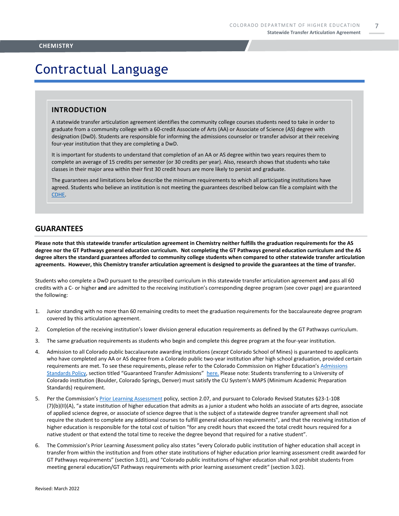## Contractual Language

#### **INTRODUCTION**

A statewide transfer articulation agreement identifies the community college courses students need to take in order to graduate from a community college with a 60-credit Associate of Arts (AA) or Associate of Science (AS) degree with designation (DwD). Students are responsible for informing the admissions counselor or transfer advisor at their receiving four-year institution that they are completing a DwD.

It is important for students to understand that completion of an AA or AS degree within two years requires them to complete an average of 15 credits per semester (or 30 credits per year). Also, research shows that students who take classes in their major area within their first 30 credit hours are more likely to persist and graduate.

The guarantees and limitations below describe the minimum requirements to which all participating institutions have agreed. Students who believe an institution is not meeting the guarantees described below can file a complaint with the [CDHE.](https://highered.colorado.gov/filing-student-complaint)

#### **GUARANTEES**

**Please note that this statewide transfer articulation agreement in Chemistry neither fulfills the graduation requirements for the AS degree nor the GT Pathways general education curriculum. Not completing the GT Pathways general education curriculum and the AS degree alters the standard guarantees afforded to community college students when compared to other statewide transfer articulation agreements. However, this Chemistry transfer articulation agreement is designed to provide the guarantees at the time of transfer.**

Students who complete a DwD pursuant to the prescribed curriculum in this statewide transfer articulation agreement **and** pass all 60 credits with a C- or higher **and** are admitted to the receiving institution's corresponding degree program (see cover page) are guaranteed the following:

- 1. Junior standing with no more than 60 remaining credits to meet the graduation requirements for the baccalaureate degree program covered by this articulation agreement.
- 2. Completion of the receiving institution's lower division general education requirements as defined by the GT Pathways curriculum.
- 3. The same graduation requirements as students who begin and complete this degree program at the four-year institution.
- 4. Admission to all Colorado public baccalaureate awarding institutions (*except* Colorado School of Mines) is guaranteed to applicants who have completed any AA or AS degree from a Colorado public two-year institution after high school graduation, provided certain requirements are met. To see these requirements, please refer to the Colorado Commission on Higher Education's Admissions [Standards Policy](https://highered.colorado.gov/sites/highered/files/2020-03/i-partf_0.pdf), section titled "Guaranteed Transfer Admissions" [here.](https://highered.colorado.gov/educators/policy-funding/cche-policies-procedures) Please note: Students transferring to a University of Colorado institution (Boulder, Colorado Springs, Denver) must satisfy the CU System's MAPS (Minimum Academic Preparation Standards) requirement.
- 5. Per the Commission's Prior [Learning Assessment](https://highered.colorado.gov/sites/highered/files/2020-03/i-partx.pdf) policy, section 2.07, and pursuant to Colorado Revised Statutes §23-1-108 (7)(b)(II)(A), "a state institution of higher education that admits as a junior a student who holds an associate of arts degree, associate of applied science degree, or associate of science degree that is the subject of a statewide degree transfer agreement shall not require the student to complete any additional courses to fulfill general education requirements", and that the receiving institution of higher education is responsible for the total cost of tuition "for any credit hours that exceed the total credit hours required for a native student or that extend the total time to receive the degree beyond that required for a native student".
- 6. The Commission's Prior Learning Assessment policy also states "every Colorado public institution of higher education shall accept in transfer from within the institution and from other state institutions of higher education prior learning assessment credit awarded for GT Pathways requirements" (section 3.01), and "Colorado public institutions of higher education shall not prohibit students from meeting general education/GT Pathways requirements with prior learning assessment credit" (section 3.02).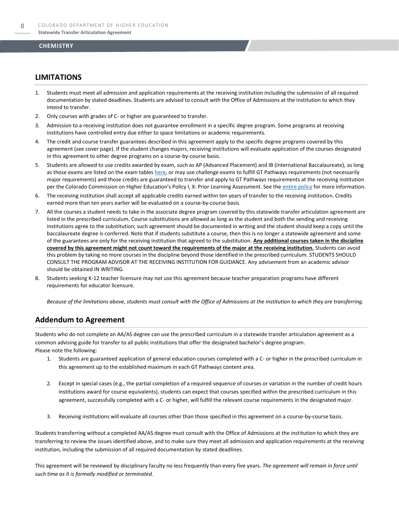#### **LIMITATIONS**

- 1. Students must meet all admission and application requirements at the receiving institution including the submission of all required documentation by stated deadlines. Students are advised to consult with the Office of Admissions at the institution to which they intend to transfer.
- 2. Only courses with grades of C- or higher are guaranteed to transfer.
- 3. Admission to a receiving institution does not guarantee enrollment in a specific degree program. Some programs at receiving institutions have controlled entry due either to space limitations or academic requirements.
- 4. The credit and course transfer guarantees described in this agreement apply to the specific degree programs covered by this agreement (see cover page). If the student changes majors, receiving institutions will evaluate application of the courses designated in this agreement to other degree programs on a course-by-course basis.
- 5. Students are allowed to use credits awarded by exam, such as AP (Advanced Placement) and IB (International Baccalaureate), as long as those exams are listed on the exam table[s here,](https://highered.colorado.gov/get-credit-for-what-you-already-know) or may use challenge exams to fulfill GT Pathways requirements (not necessarily major requirements) and those credits are guaranteed to transfer and apply to GT Pathways requirements at the receiving institution per the Colorado Commission on Higher Education's Policy I, X: Prior Learning Assessment. See the [entire policy](https://highered.colorado.gov/sites/highered/files/2020-03/i-partx.pdf) for more information.
- 6. The receiving institution shall accept all applicable credits earned within ten years of transfer to the receiving institution. Credits earned more than ten years earlier will be evaluated on a course-by-course basis.
- 7. All the courses a student needs to take in the associate degree program covered by this statewide transfer articulation agreement are listed in the prescribed curriculum. Course substitutions are allowed as long as the student and both the sending and receiving institutions agree to the substitution; such agreement should be documented in writing and the student should keep a copy until the baccalaureate degree is conferred. Note that if students substitute a course, then this is no longer a statewide agreement and some of the guarantees are only for the receiving institution that agreed to the substitution. **Any additional courses taken in the discipline covered by this agreement might not count toward the requirements of the major at the receiving institution.** Students can avoid this problem by taking no more courses in the discipline beyond those identified in the prescribed curriculum. STUDENTS SHOULD CONSULT THE PROGRAM ADVISOR AT THE RECEIVING INSTITUTION FOR GUIDANCE. Any advisement from an academic advisor should be obtained IN WRITING.
- Students seeking K-12 teacher licensure may not use this agreement because teacher preparation programs have different requirements for educator licensure.

*Because of the limitations above, students must consult with the Office of Admissions at the institution to which they are transferring.*

#### **Addendum to Agreement**

Students who do not complete an AA/AS degree can use the prescribed curriculum in a statewide transfer articulation agreement as a common advising guide for transfer to all public institutions that offer the designated bachelor's degree program. Please note the following:

- 1. Students are guaranteed application of general education courses completed with a C- or higher in the prescribed curriculum in this agreement up to the established maximum in each GT Pathways content area.
- 2. Except in special cases (e.g., the partial completion of a required sequence of courses or variation in the number of credit hours institutions award for course equivalents), students can expect that courses specified within the prescribed curriculum in this agreement, successfully completed with a C- or higher, will fulfill the relevant course requirements in the designated major.
- 3. Receiving institutions will evaluate all courses other than those specified in this agreement on a course-by-course basis.

Students transferring without a completed AA/AS degree must consult with the Office of Admissions at the institution to which they are transferring to review the issues identified above, and to make sure they meet all admission and application requirements at the receiving institution, including the submission of all required documentation by stated deadlines.

This agreement will be reviewed by disciplinary faculty no less frequently than every five years. *The agreement will remain in force until such time as it is formally modified or terminated.*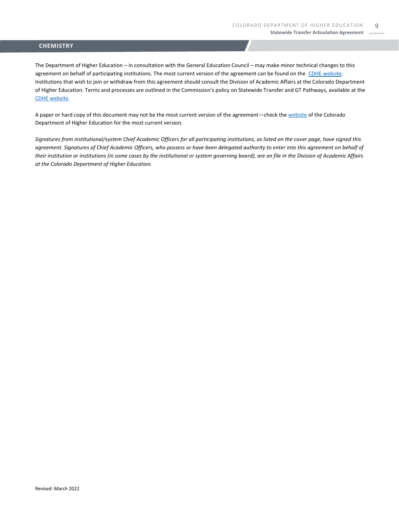The Department of Higher Education – in consultation with the General Education Council – may make minor technical changes to this agreement on behalf of participating institutions. The most current version of the agreement can be found on the [CDHE website.](https://highered.colorado.gov/transfer-degrees) Institutions that wish to join or withdraw from this agreement should consult the Division of Academic Affairs at the Colorado Department of Higher Education. Terms and processes are outlined in the Commission's policy on Statewide Transfer and GT Pathways, available at the [CDHE website.](https://highered.colorado.gov/educators/policy-funding/general-education-ge-council/gtpathways/transfer-agreements)

A paper or hard copy of this document may not be the most current version of the agreement—check th[e website](https://highered.colorado.gov/transfer-degrees) of the Colorado Department of Higher Education for the most current version.

*Signatures from institutional/system Chief Academic Officers for all participating institutions, as listed on the cover page, have signed this agreement. Signatures of Chief Academic Officers, who possess or have been delegated authority to enter into this agreement on behalf of their institution or institutions (in some cases by the institutional or system governing board), are on file in the Division of Academic Affairs at the Colorado Department of Higher Education.*